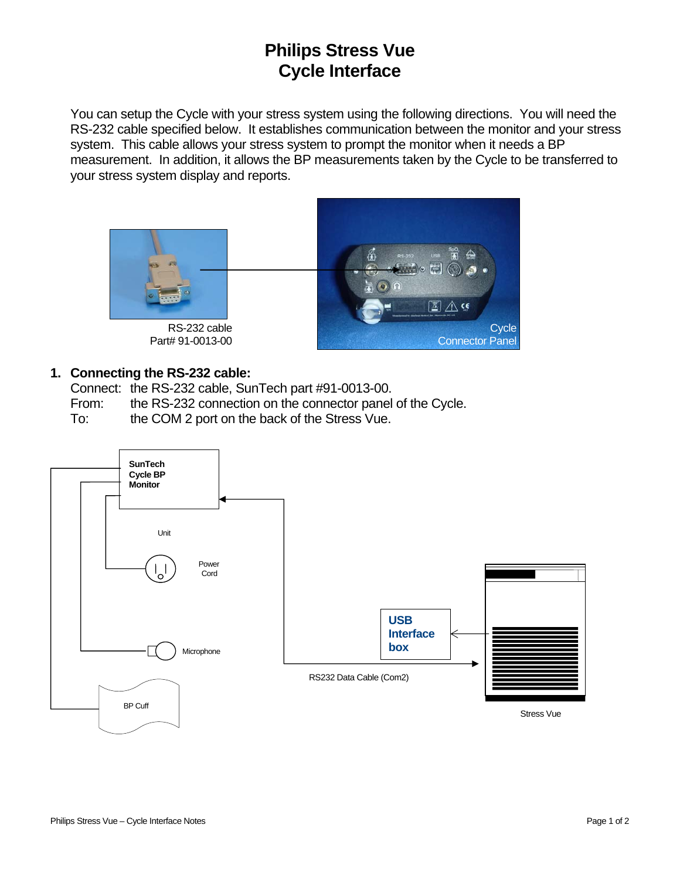## **Philips Stress Vue Cycle Interface**

You can setup the Cycle with your stress system using the following directions. You will need the RS-232 cable specified below. It establishes communication between the monitor and your stress system. This cable allows your stress system to prompt the monitor when it needs a BP measurement. In addition, it allows the BP measurements taken by the Cycle to be transferred to your stress system display and reports.



RS-232 cable Part# 91-0013-00



## **1. Connecting the RS-232 cable:**

Connect: the RS-232 cable, SunTech part #91-0013-00.

From: the RS-232 connection on the connector panel of the Cycle.

To: the COM 2 port on the back of the Stress Vue.